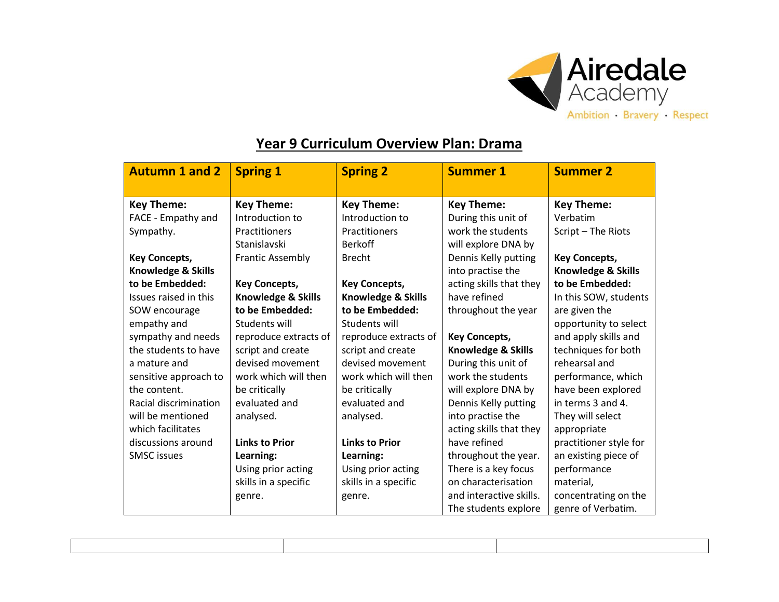

## **Year 9 Curriculum Overview Plan: Drama**

| <b>Autumn 1 and 2</b> | <b>Spring 1</b>               | <b>Spring 2</b>       | <b>Summer 1</b>         | <b>Summer 2</b>        |
|-----------------------|-------------------------------|-----------------------|-------------------------|------------------------|
|                       |                               |                       |                         |                        |
| <b>Key Theme:</b>     | <b>Key Theme:</b>             | <b>Key Theme:</b>     | <b>Key Theme:</b>       | <b>Key Theme:</b>      |
| FACE - Empathy and    | Introduction to               | Introduction to       | During this unit of     | Verbatim               |
| Sympathy.             | Practitioners                 | Practitioners         | work the students       | Script - The Riots     |
|                       | Stanislavski                  | <b>Berkoff</b>        | will explore DNA by     |                        |
| <b>Key Concepts,</b>  | <b>Frantic Assembly</b>       | <b>Brecht</b>         | Dennis Kelly putting    | <b>Key Concepts,</b>   |
| Knowledge & Skills    |                               |                       | into practise the       | Knowledge & Skills     |
| to be Embedded:       | <b>Key Concepts,</b>          | <b>Key Concepts,</b>  | acting skills that they | to be Embedded:        |
| Issues raised in this | <b>Knowledge &amp; Skills</b> | Knowledge & Skills    | have refined            | In this SOW, students  |
| SOW encourage         | to be Embedded:               | to be Embedded:       | throughout the year     | are given the          |
| empathy and           | Students will                 | Students will         |                         | opportunity to select  |
| sympathy and needs    | reproduce extracts of         | reproduce extracts of | <b>Key Concepts,</b>    | and apply skills and   |
| the students to have  | script and create             | script and create     | Knowledge & Skills      | techniques for both    |
| a mature and          | devised movement              | devised movement      | During this unit of     | rehearsal and          |
| sensitive approach to | work which will then          | work which will then  | work the students       | performance, which     |
| the content.          | be critically                 | be critically         | will explore DNA by     | have been explored     |
| Racial discrimination | evaluated and                 | evaluated and         | Dennis Kelly putting    | in terms 3 and 4.      |
| will be mentioned     | analysed.                     | analysed.             | into practise the       | They will select       |
| which facilitates     |                               |                       | acting skills that they | appropriate            |
| discussions around    | <b>Links to Prior</b>         | <b>Links to Prior</b> | have refined            | practitioner style for |
| <b>SMSC</b> issues    | Learning:                     | Learning:             | throughout the year.    | an existing piece of   |
|                       | Using prior acting            | Using prior acting    | There is a key focus    | performance            |
|                       | skills in a specific          | skills in a specific  | on characterisation     | material,              |
|                       | genre.                        | genre.                | and interactive skills. | concentrating on the   |
|                       |                               |                       | The students explore    | genre of Verbatim.     |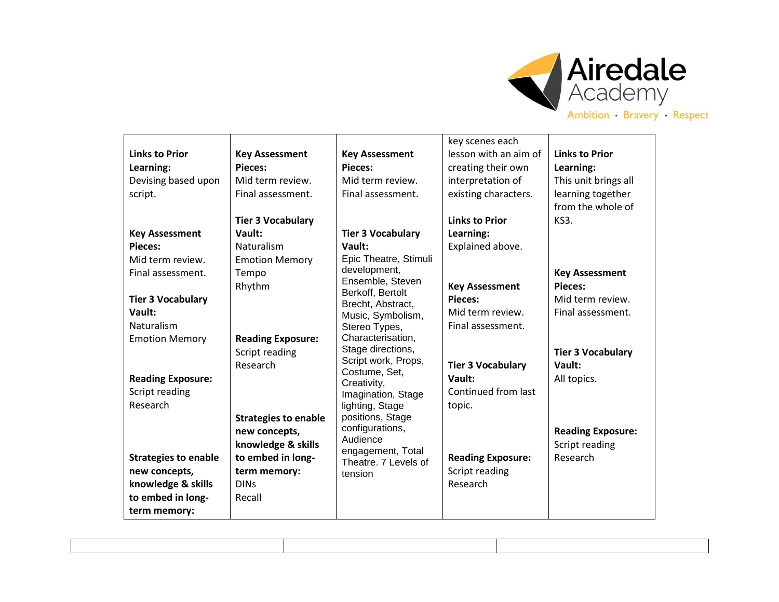

## **Links to Prior Learning:** Devising based upon script. **Key Assessment Pieces:** Mid term review. Final assessment. **Tier 3 Vocabulary Vault:** Naturalism Emotion Memory **Reading Exposure:** Script reading Research **Strategies to enable new concepts, knowledge & skills to embed in long-Key Assessment Pieces:** Mid term review. Final assessment. **Tier 3 Vocabulary Vault:** Naturalism Emotion Memory Tempo Rhythm **Reading Exposure:** Script reading Research **Strategies to enable new concepts, knowledge & skills to embed in longterm memory:** DINs Recall **Key Assessment Pieces:** Mid term review. Final assessment. **Tier 3 Vocabulary Vault:** Epic Theatre, Stimuli development, Ensemble, Steven Berkoff, Bertolt Brecht, Abstract, Music, Symbolism, Stereo Types, Characterisation, Stage directions, Script work, Props, Costume, Set, Creativity, Imagination, Stage lighting, Stage positions, Stage configurations, Audience engagement, Total Theatre. 7 Levels of tension key scenes each lesson with an aim of creating their own interpretation of existing characters. **Links to Prior Learning:** Explained above. **Key Assessment Pieces:** Mid term review. Final assessment. **Tier 3 Vocabulary Vault:** Continued from last topic. **Reading Exposure:** Script reading Research **Links to Prior Learning:** This unit brings all learning together from the whole of KS3. **Key Assessment Pieces:** Mid term review. Final assessment. **Tier 3 Vocabulary Vault:** All topics. **Reading Exposure:** Script reading Research

**term memory:**